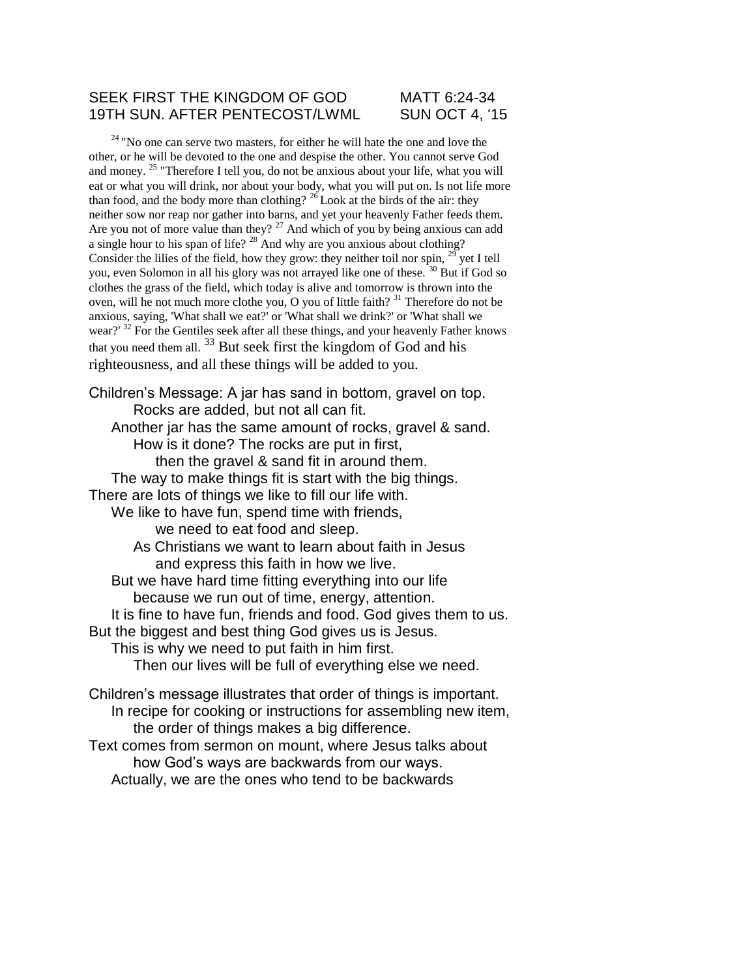#### SEEK FIRST THE KINGDOM OF GOD MATT 6:24-34 19TH SUN. AFTER PENTECOST/LWML SUN OCT 4, '15

 $24$  "No one can serve two masters, for either he will hate the one and love the other, or he will be devoted to the one and despise the other. You cannot serve God and money. <sup>25</sup> "Therefore I tell you, do not be anxious about your life, what you will eat or what you will drink, nor about your body, what you will put on. Is not life more than food, and the body more than clothing?  $^{26}$  Look at the birds of the air: they neither sow nor reap nor gather into barns, and yet your heavenly Father feeds them. Are you not of more value than they?  $27$  And which of you by being anxious can add a single hour to his span of life? <sup>28</sup> And why are you anxious about clothing? Consider the lilies of the field, how they grow: they neither toil nor spin,  $^{29}$  yet I tell you, even Solomon in all his glory was not arrayed like one of these.<sup>30</sup> But if God so clothes the grass of the field, which today is alive and tomorrow is thrown into the oven, will he not much more clothe you, O you of little faith? <sup>31</sup> Therefore do not be anxious, saying, 'What shall we eat?' or 'What shall we drink?' or 'What shall we wear?' <sup>32</sup> For the Gentiles seek after all these things, and your heavenly Father knows that you need them all. <sup>33</sup> But seek first the kingdom of God and his righteousness, and all these things will be added to you.

Children's Message: A jar has sand in bottom, gravel on top. Rocks are added, but not all can fit. Another jar has the same amount of rocks, gravel & sand. How is it done? The rocks are put in first, then the gravel & sand fit in around them. The way to make things fit is start with the big things. There are lots of things we like to fill our life with. We like to have fun, spend time with friends, we need to eat food and sleep. As Christians we want to learn about faith in Jesus and express this faith in how we live. But we have hard time fitting everything into our life because we run out of time, energy, attention. It is fine to have fun, friends and food. God gives them to us. But the biggest and best thing God gives us is Jesus. This is why we need to put faith in him first. Then our lives will be full of everything else we need. Children's message illustrates that order of things is important. In recipe for cooking or instructions for assembling new item,

the order of things makes a big difference. Text comes from sermon on mount, where Jesus talks about how God's ways are backwards from our ways. Actually, we are the ones who tend to be backwards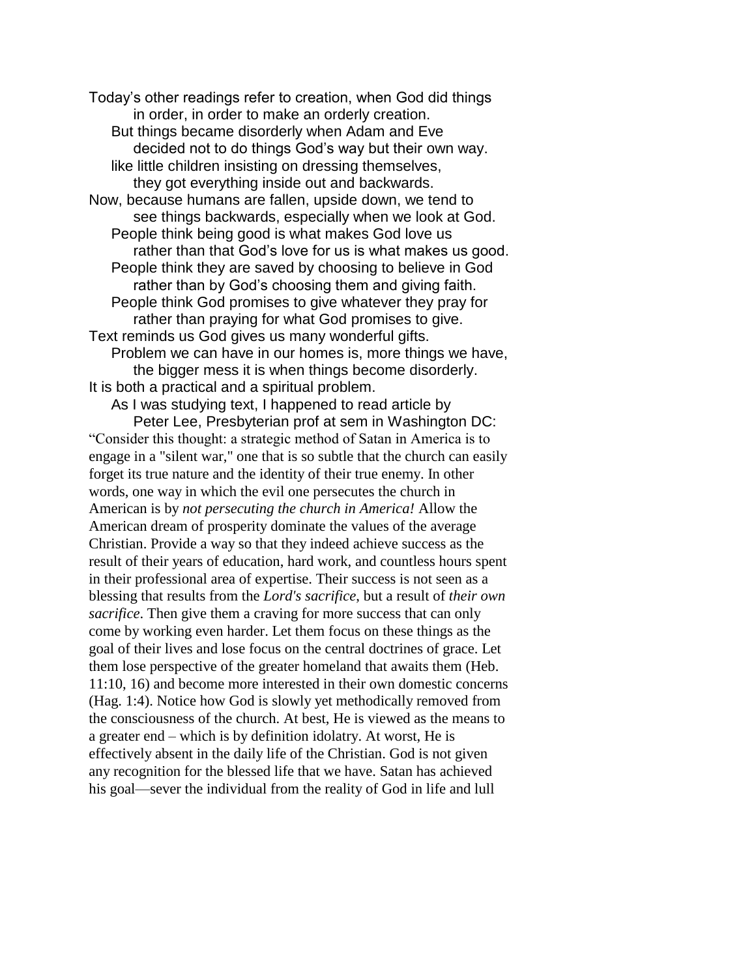Today's other readings refer to creation, when God did things in order, in order to make an orderly creation. But things became disorderly when Adam and Eve decided not to do things God's way but their own way. like little children insisting on dressing themselves, they got everything inside out and backwards. Now, because humans are fallen, upside down, we tend to see things backwards, especially when we look at God. People think being good is what makes God love us rather than that God's love for us is what makes us good. People think they are saved by choosing to believe in God rather than by God's choosing them and giving faith. People think God promises to give whatever they pray for rather than praying for what God promises to give. Text reminds us God gives us many wonderful gifts. Problem we can have in our homes is, more things we have, the bigger mess it is when things become disorderly. It is both a practical and a spiritual problem.

As I was studying text, I happened to read article by Peter Lee, Presbyterian prof at sem in Washington DC: "Consider this thought: a strategic method of Satan in America is to engage in a "silent war," one that is so subtle that the church can easily forget its true nature and the identity of their true enemy. In other words, one way in which the evil one persecutes the church in American is by *not persecuting the church in America!* Allow the American dream of prosperity dominate the values of the average Christian. Provide a way so that they indeed achieve success as the result of their years of education, hard work, and countless hours spent in their professional area of expertise. Their success is not seen as a blessing that results from the *Lord's sacrifice*, but a result of *their own sacrifice*. Then give them a craving for more success that can only come by working even harder. Let them focus on these things as the goal of their lives and lose focus on the central doctrines of grace. Let them lose perspective of the greater homeland that awaits them (Heb. 11:10, 16) and become more interested in their own domestic concerns (Hag. 1:4). Notice how God is slowly yet methodically removed from the consciousness of the church. At best, He is viewed as the means to a greater end – which is by definition idolatry. At worst, He is effectively absent in the daily life of the Christian. God is not given any recognition for the blessed life that we have. Satan has achieved his goal—sever the individual from the reality of God in life and lull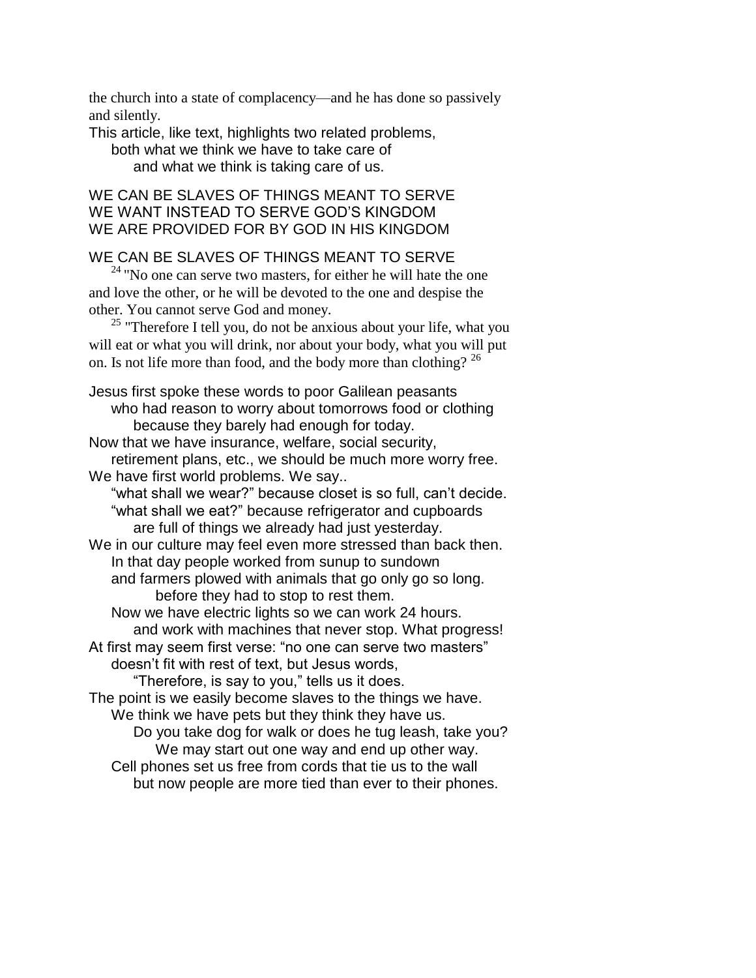the church into a state of complacency—and he has done so passively and silently.

This article, like text, highlights two related problems, both what we think we have to take care of and what we think is taking care of us.

## WE CAN BE SLAVES OF THINGS MEANT TO SERVE WE WANT INSTEAD TO SERVE GOD'S KINGDOM WE ARE PROVIDED FOR BY GOD IN HIS KINGDOM

## WE CAN BE SLAVES OF THINGS MEANT TO SERVE

 $24$  "No one can serve two masters, for either he will hate the one and love the other, or he will be devoted to the one and despise the other. You cannot serve God and money.

 $25$  "Therefore I tell you, do not be anxious about your life, what you will eat or what you will drink, nor about your body, what you will put on. Is not life more than food, and the body more than clothing?  $^{26}$ 

Jesus first spoke these words to poor Galilean peasants who had reason to worry about tomorrows food or clothing because they barely had enough for today. Now that we have insurance, welfare, social security, retirement plans, etc., we should be much more worry free.

We have first world problems. We say..

"what shall we wear?" because closet is so full, can't decide. "what shall we eat?" because refrigerator and cupboards are full of things we already had just yesterday.

We in our culture may feel even more stressed than back then. In that day people worked from sunup to sundown and farmers plowed with animals that go only go so long. before they had to stop to rest them.

Now we have electric lights so we can work 24 hours. and work with machines that never stop. What progress! At first may seem first verse: "no one can serve two masters"

doesn't fit with rest of text, but Jesus words,

"Therefore, is say to you," tells us it does.

The point is we easily become slaves to the things we have. We think we have pets but they think they have us.

Do you take dog for walk or does he tug leash, take you? We may start out one way and end up other way. Cell phones set us free from cords that tie us to the wall but now people are more tied than ever to their phones.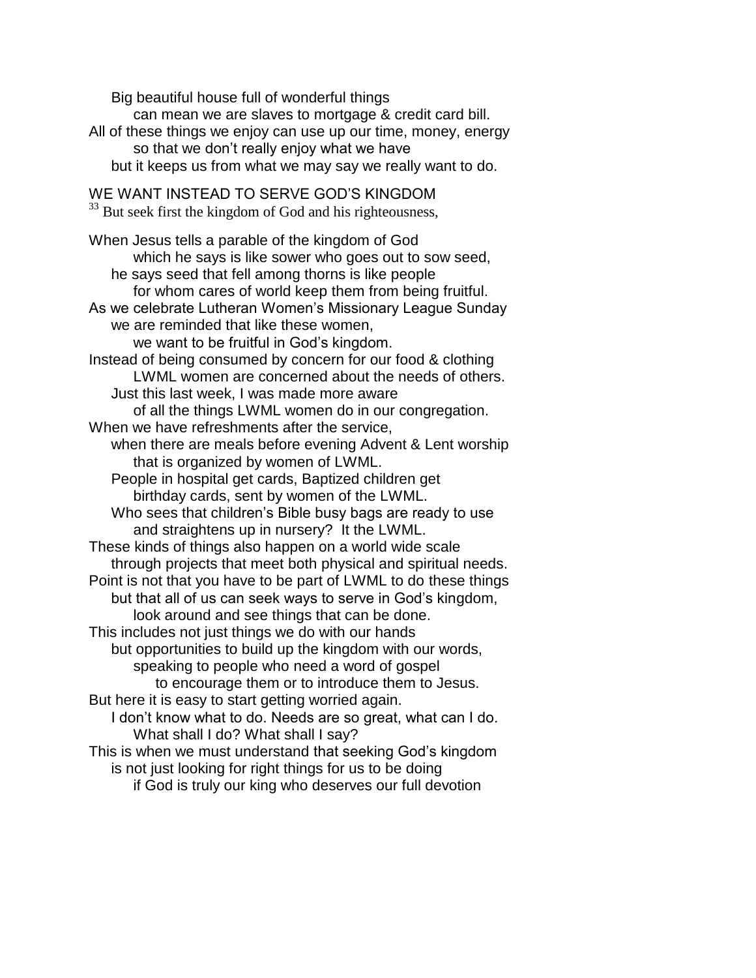Big beautiful house full of wonderful things can mean we are slaves to mortgage & credit card bill. All of these things we enjoy can use up our time, money, energy so that we don't really enjoy what we have but it keeps us from what we may say we really want to do. WE WANT INSTEAD TO SERVE GOD'S KINGDOM <sup>33</sup> But seek first the kingdom of God and his righteousness, When Jesus tells a parable of the kingdom of God which he says is like sower who goes out to sow seed, he says seed that fell among thorns is like people for whom cares of world keep them from being fruitful. As we celebrate Lutheran Women's Missionary League Sunday we are reminded that like these women, we want to be fruitful in God's kingdom. Instead of being consumed by concern for our food & clothing LWML women are concerned about the needs of others. Just this last week, I was made more aware of all the things LWML women do in our congregation. When we have refreshments after the service, when there are meals before evening Advent & Lent worship that is organized by women of LWML. People in hospital get cards, Baptized children get birthday cards, sent by women of the LWML. Who sees that children's Bible busy bags are ready to use and straightens up in nursery? It the LWML. These kinds of things also happen on a world wide scale through projects that meet both physical and spiritual needs. Point is not that you have to be part of LWML to do these things but that all of us can seek ways to serve in God's kingdom, look around and see things that can be done. This includes not just things we do with our hands but opportunities to build up the kingdom with our words, speaking to people who need a word of gospel to encourage them or to introduce them to Jesus. But here it is easy to start getting worried again. I don't know what to do. Needs are so great, what can I do. What shall I do? What shall I say? This is when we must understand that seeking God's kingdom is not just looking for right things for us to be doing if God is truly our king who deserves our full devotion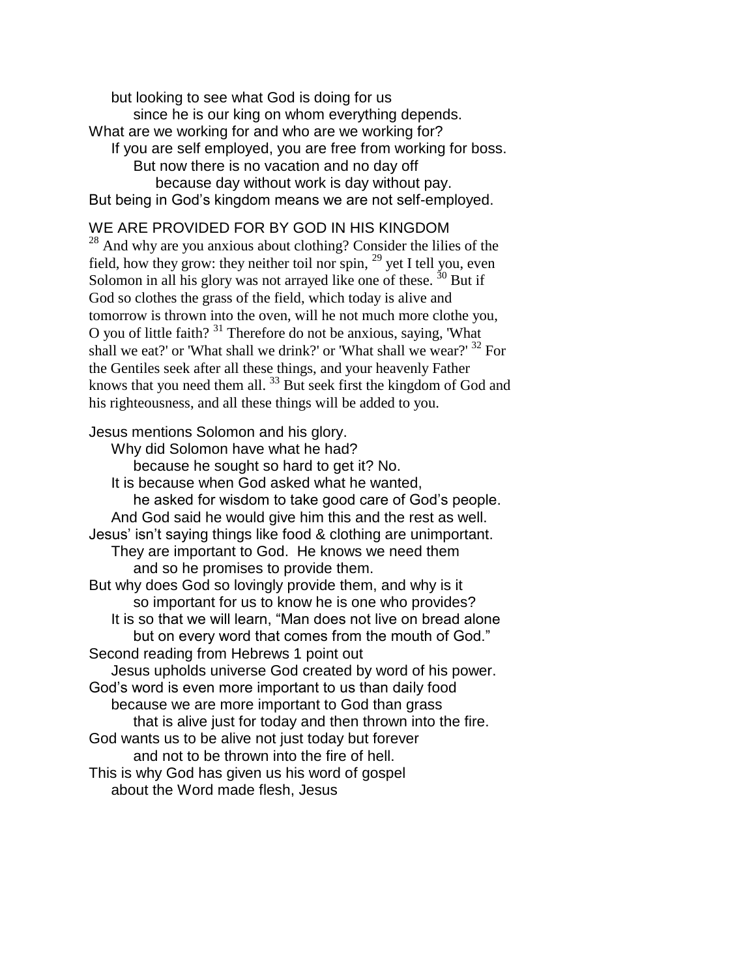but looking to see what God is doing for us since he is our king on whom everything depends. What are we working for and who are we working for? If you are self employed, you are free from working for boss. But now there is no vacation and no day off because day without work is day without pay. But being in God's kingdom means we are not self-employed.

# WE ARE PROVIDED FOR BY GOD IN HIS KINGDOM

<sup>28</sup> And why are you anxious about clothing? Consider the lilies of the field, how they grow: they neither toil nor spin,  $^{29}$  yet I tell you, even Solomon in all his glory was not arrayed like one of these.  $30$  But if God so clothes the grass of the field, which today is alive and tomorrow is thrown into the oven, will he not much more clothe you, O you of little faith? <sup>31</sup> Therefore do not be anxious, saying, 'What shall we eat?' or 'What shall we drink?' or 'What shall we wear?'  $32$  For the Gentiles seek after all these things, and your heavenly Father knows that you need them all.<sup>33</sup> But seek first the kingdom of God and his righteousness, and all these things will be added to you.

#### Jesus mentions Solomon and his glory.

Why did Solomon have what he had? because he sought so hard to get it? No. It is because when God asked what he wanted, he asked for wisdom to take good care of God's people. And God said he would give him this and the rest as well. Jesus' isn't saying things like food & clothing are unimportant. They are important to God. He knows we need them and so he promises to provide them. But why does God so lovingly provide them, and why is it so important for us to know he is one who provides? It is so that we will learn, "Man does not live on bread alone but on every word that comes from the mouth of God." Second reading from Hebrews 1 point out Jesus upholds universe God created by word of his power. God's word is even more important to us than daily food because we are more important to God than grass that is alive just for today and then thrown into the fire. God wants us to be alive not just today but forever and not to be thrown into the fire of hell. This is why God has given us his word of gospel about the Word made flesh, Jesus